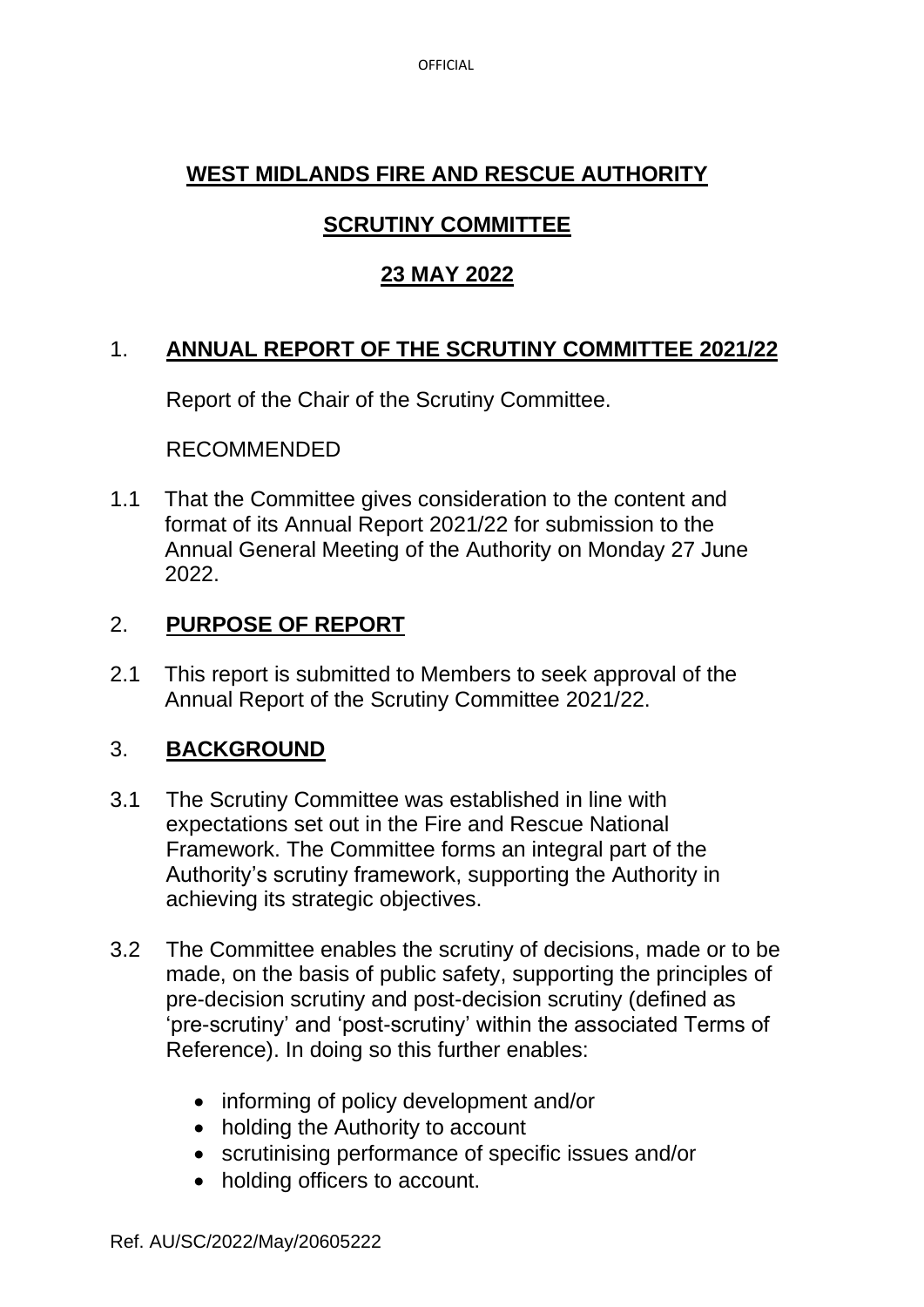# **WEST MIDLANDS FIRE AND RESCUE AUTHORITY**

# **SCRUTINY COMMITTEE**

# **23 MAY 2022**

### 1. **ANNUAL REPORT OF THE SCRUTINY COMMITTEE 2021/22**

Report of the Chair of the Scrutiny Committee.

RECOMMENDED

1.1 That the Committee gives consideration to the content and format of its Annual Report 2021/22 for submission to the Annual General Meeting of the Authority on Monday 27 June 2022.

# 2. **PURPOSE OF REPORT**

2.1 This report is submitted to Members to seek approval of the Annual Report of the Scrutiny Committee 2021/22.

### 3. **BACKGROUND**

- 3.1 The Scrutiny Committee was established in line with expectations set out in the Fire and Rescue National Framework. The Committee forms an integral part of the Authority's scrutiny framework, supporting the Authority in achieving its strategic objectives.
- 3.2 The Committee enables the scrutiny of decisions, made or to be made, on the basis of public safety, supporting the principles of pre-decision scrutiny and post-decision scrutiny (defined as 'pre-scrutiny' and 'post-scrutiny' within the associated Terms of Reference). In doing so this further enables:
	- informing of policy development and/or
	- holding the Authority to account
	- scrutinising performance of specific issues and/or
	- holding officers to account.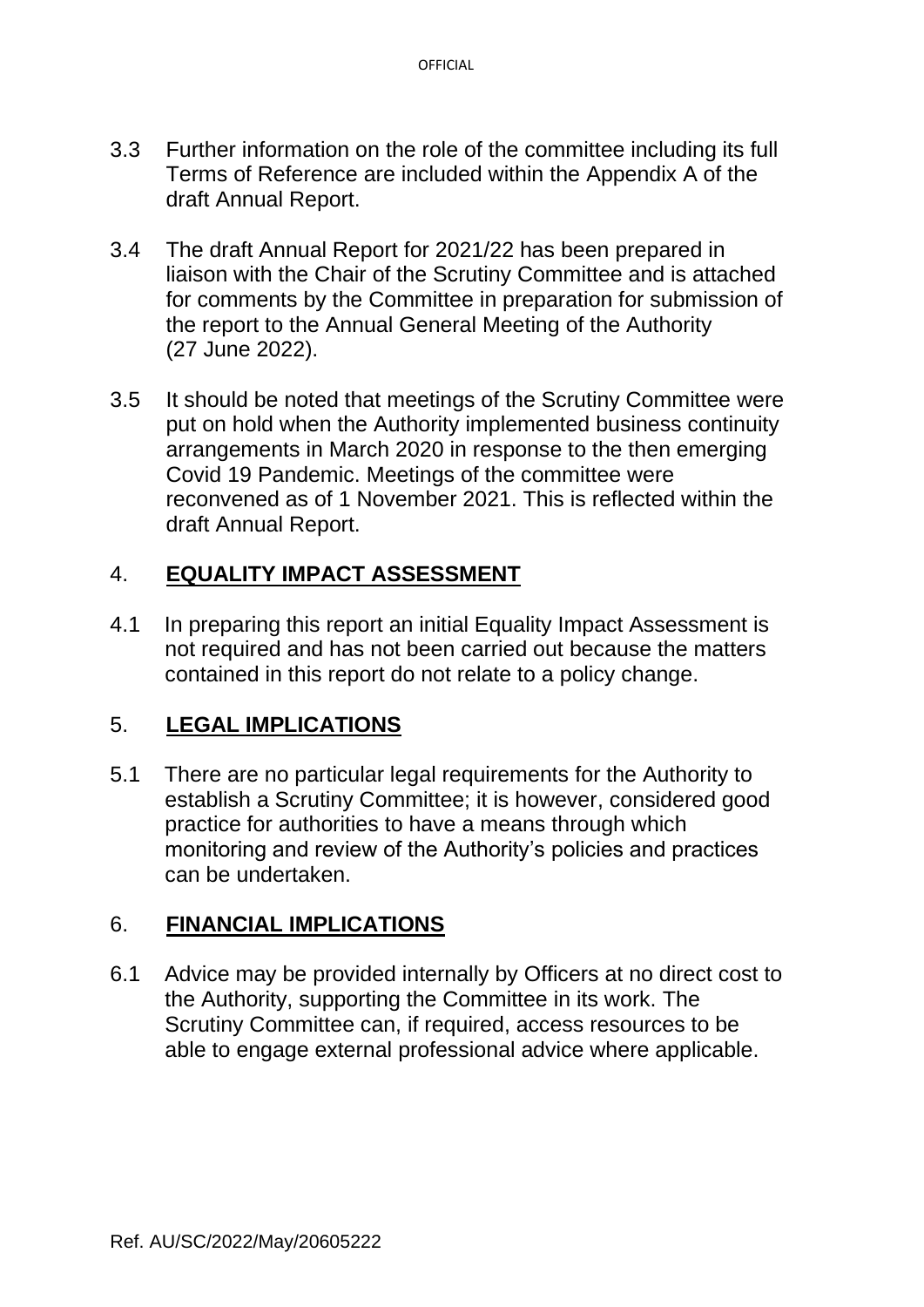- 3.3 Further information on the role of the committee including its full Terms of Reference are included within the Appendix A of the draft Annual Report.
- 3.4 The draft Annual Report for 2021/22 has been prepared in liaison with the Chair of the Scrutiny Committee and is attached for comments by the Committee in preparation for submission of the report to the Annual General Meeting of the Authority (27 June 2022).
- 3.5 It should be noted that meetings of the Scrutiny Committee were put on hold when the Authority implemented business continuity arrangements in March 2020 in response to the then emerging Covid 19 Pandemic. Meetings of the committee were reconvened as of 1 November 2021. This is reflected within the draft Annual Report.

### 4. **EQUALITY IMPACT ASSESSMENT**

4.1 In preparing this report an initial Equality Impact Assessment is not required and has not been carried out because the matters contained in this report do not relate to a policy change.

### 5. **LEGAL IMPLICATIONS**

5.1 There are no particular legal requirements for the Authority to establish a Scrutiny Committee; it is however, considered good practice for authorities to have a means through which monitoring and review of the Authority's policies and practices can be undertaken.

# 6. **FINANCIAL IMPLICATIONS**

6.1 Advice may be provided internally by Officers at no direct cost to the Authority, supporting the Committee in its work. The Scrutiny Committee can, if required, access resources to be able to engage external professional advice where applicable.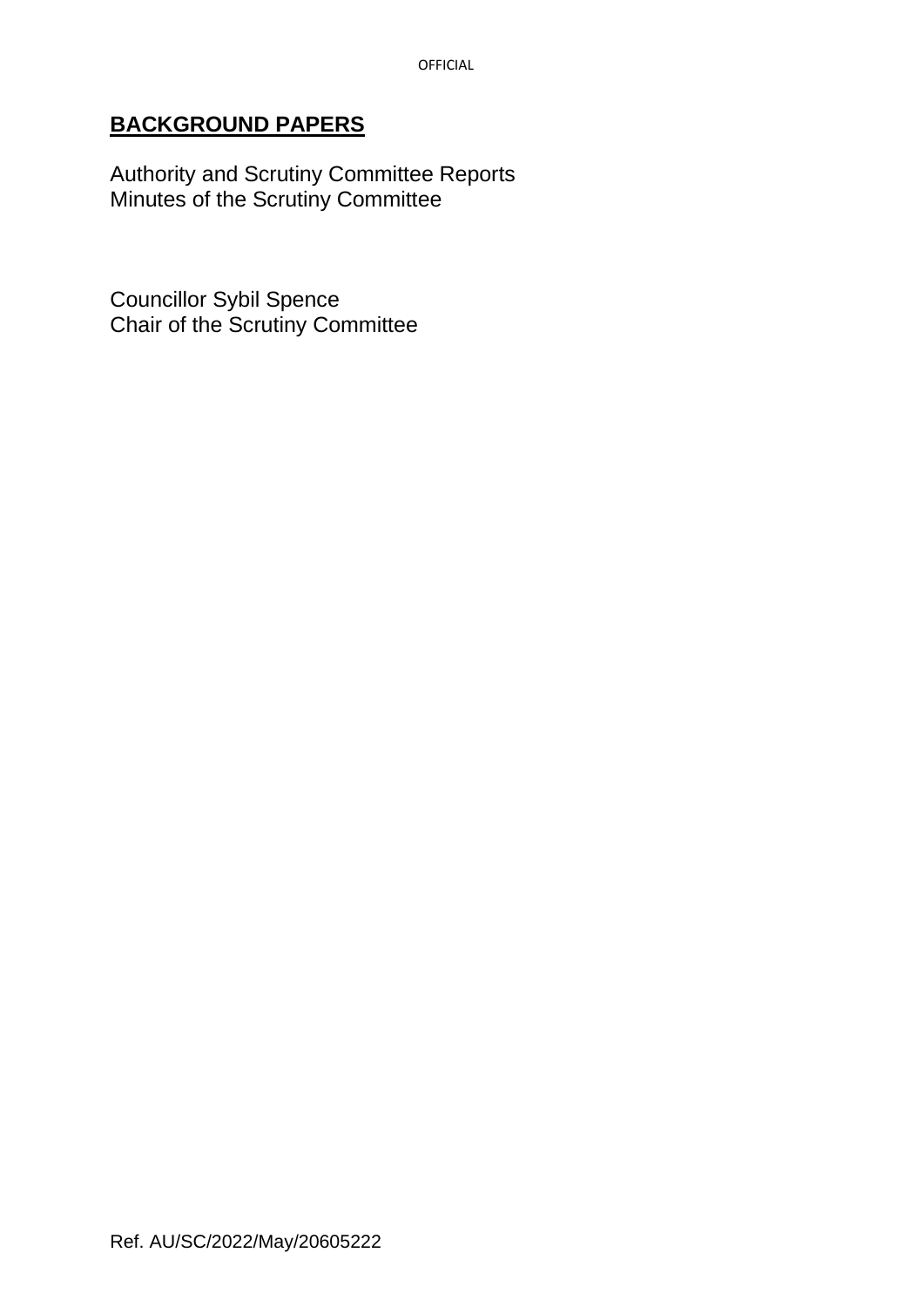### **BACKGROUND PAPERS**

Authority and Scrutiny Committee Reports Minutes of the Scrutiny Committee

Councillor Sybil Spence Chair of the Scrutiny Committee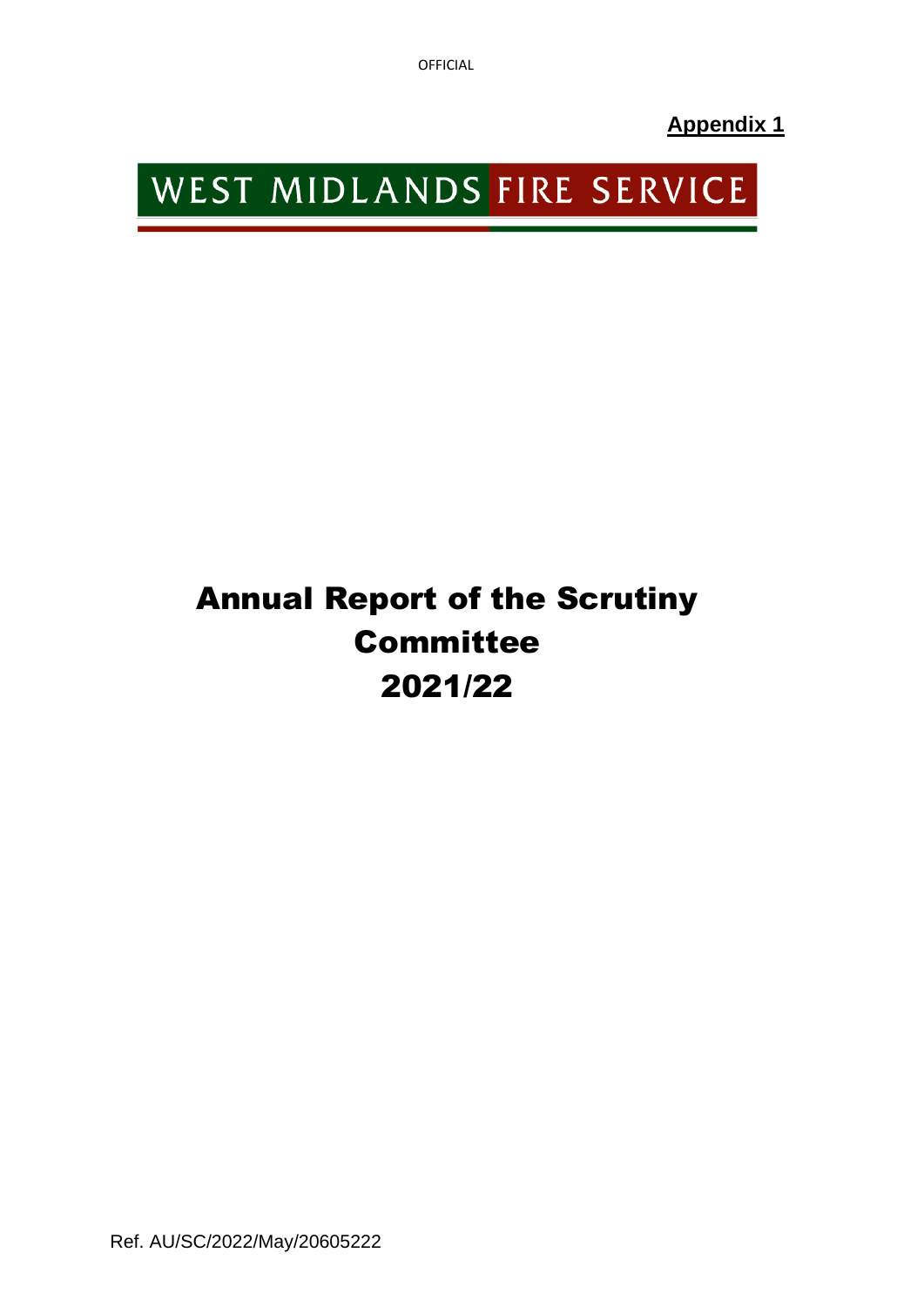OFFICIAL

**Appendix 1**

# WEST MIDLANDS FIRE SERVICE

# Annual Report of the Scrutiny **Committee** 2021/22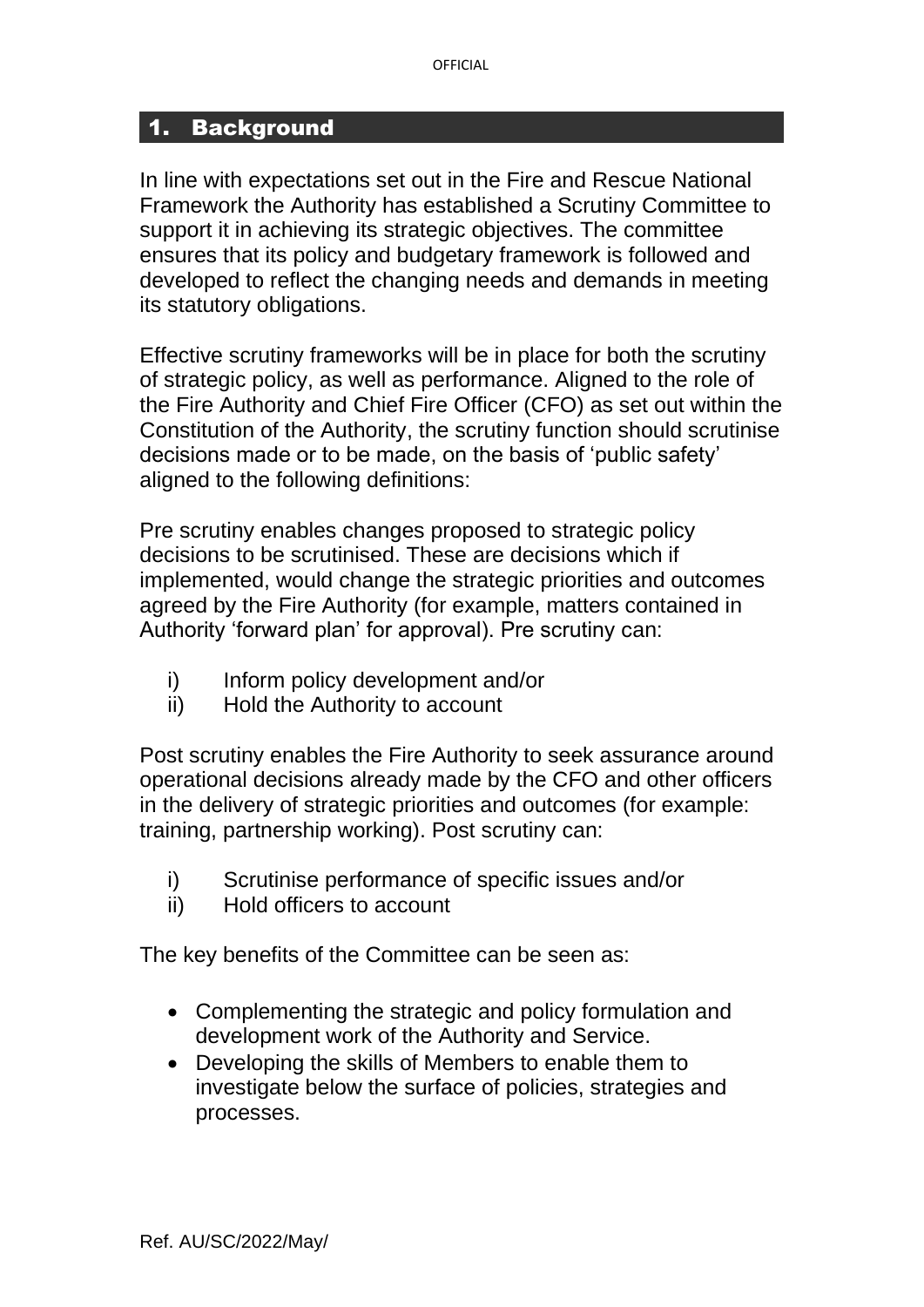#### 1. Background

In line with expectations set out in the Fire and Rescue National Framework the Authority has established a Scrutiny Committee to support it in achieving its strategic objectives. The committee ensures that its policy and budgetary framework is followed and developed to reflect the changing needs and demands in meeting its statutory obligations.

Effective scrutiny frameworks will be in place for both the scrutiny of strategic policy, as well as performance. Aligned to the role of the Fire Authority and Chief Fire Officer (CFO) as set out within the Constitution of the Authority, the scrutiny function should scrutinise decisions made or to be made, on the basis of 'public safety' aligned to the following definitions:

Pre scrutiny enables changes proposed to strategic policy decisions to be scrutinised. These are decisions which if implemented, would change the strategic priorities and outcomes agreed by the Fire Authority (for example, matters contained in Authority 'forward plan' for approval). Pre scrutiny can:

- i) Inform policy development and/or
- ii) Hold the Authority to account

Post scrutiny enables the Fire Authority to seek assurance around operational decisions already made by the CFO and other officers in the delivery of strategic priorities and outcomes (for example: training, partnership working). Post scrutiny can:

- i) Scrutinise performance of specific issues and/or
- ii) Hold officers to account

The key benefits of the Committee can be seen as:

- Complementing the strategic and policy formulation and development work of the Authority and Service.
- Developing the skills of Members to enable them to investigate below the surface of policies, strategies and processes.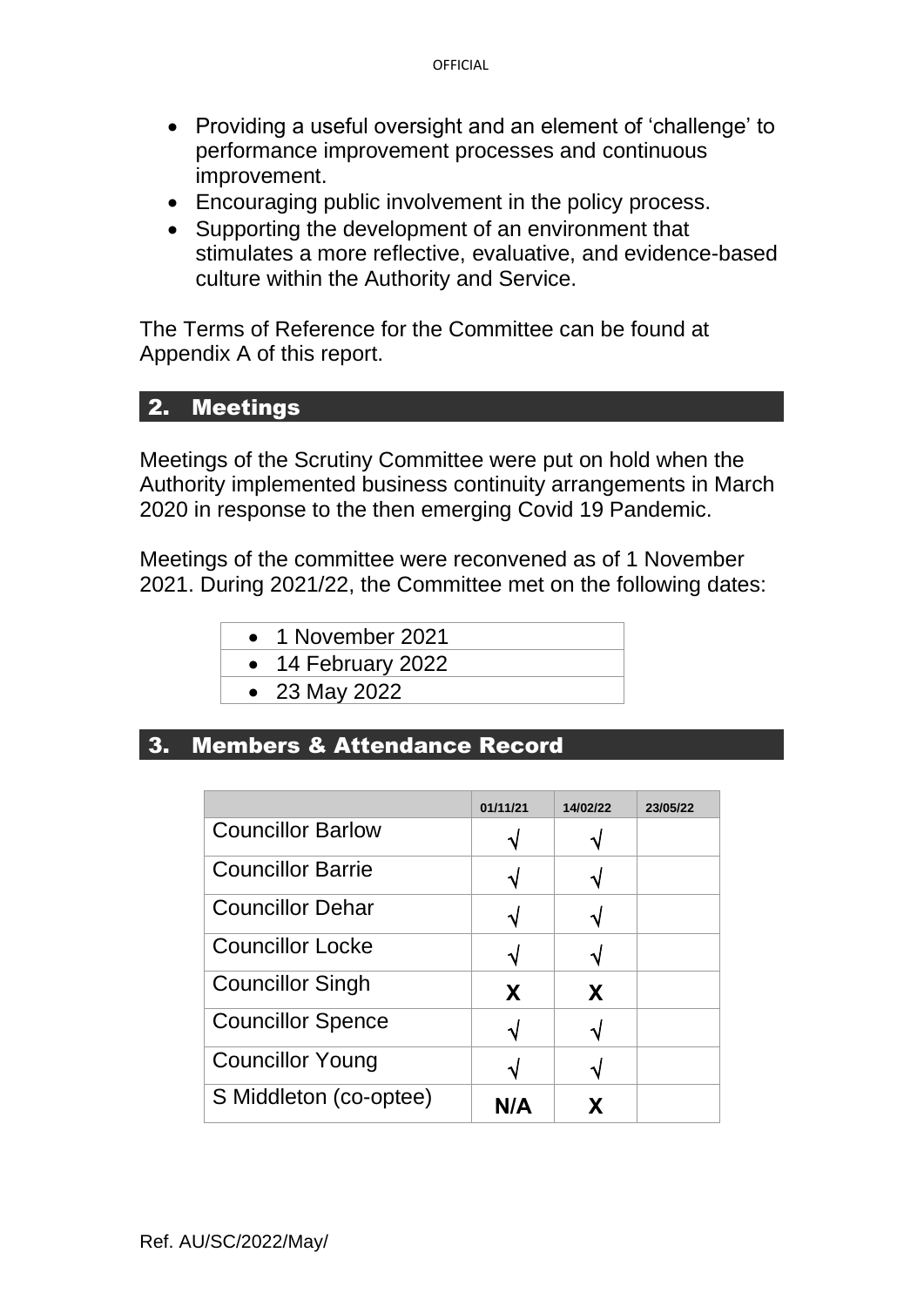- Providing a useful oversight and an element of 'challenge' to performance improvement processes and continuous improvement.
- Encouraging public involvement in the policy process.
- Supporting the development of an environment that stimulates a more reflective, evaluative, and evidence-based culture within the Authority and Service.

The Terms of Reference for the Committee can be found at Appendix A of this report.

# 2. Meetings

Meetings of the Scrutiny Committee were put on hold when the Authority implemented business continuity arrangements in March 2020 in response to the then emerging Covid 19 Pandemic.

Meetings of the committee were reconvened as of 1 November 2021. During 2021/22, the Committee met on the following dates:

- 1 November 2021
- 14 February 2022
- 23 May 2022

### 3. Members & Attendance Record

|                          | 01/11/21 | 14/02/22 | 23/05/22 |
|--------------------------|----------|----------|----------|
| <b>Councillor Barlow</b> |          |          |          |
| <b>Councillor Barrie</b> |          |          |          |
| <b>Councillor Dehar</b>  |          |          |          |
| <b>Councillor Locke</b>  |          |          |          |
| <b>Councillor Singh</b>  | X        | X        |          |
| <b>Councillor Spence</b> |          |          |          |
| <b>Councillor Young</b>  |          |          |          |
| S Middleton (co-optee)   | N/A      |          |          |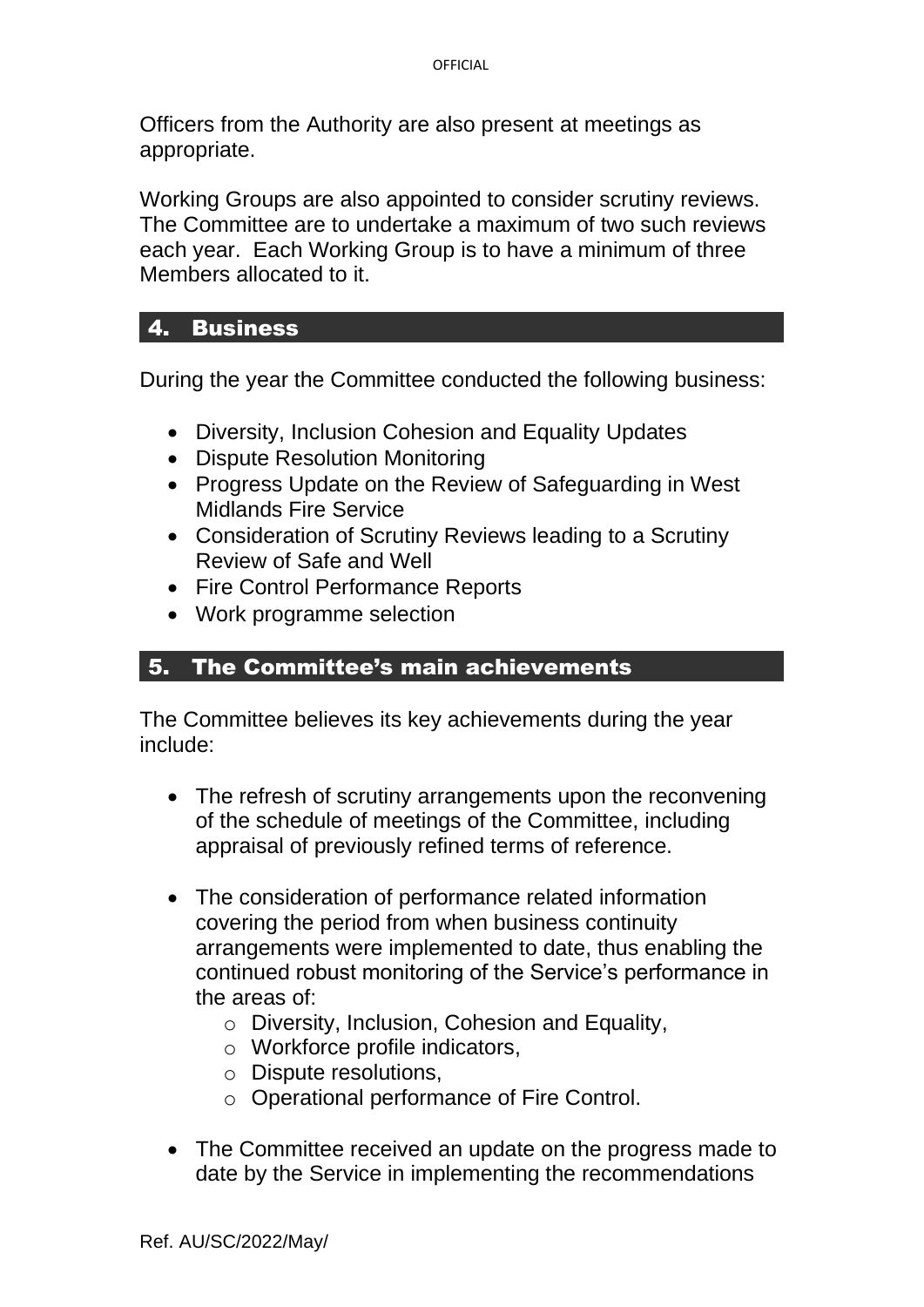Officers from the Authority are also present at meetings as appropriate.

Working Groups are also appointed to consider scrutiny reviews. The Committee are to undertake a maximum of two such reviews each year. Each Working Group is to have a minimum of three Members allocated to it.

### 4. Business

During the year the Committee conducted the following business:

- Diversity, Inclusion Cohesion and Equality Updates
- Dispute Resolution Monitoring
- Progress Update on the Review of Safeguarding in West Midlands Fire Service
- Consideration of Scrutiny Reviews leading to a Scrutiny Review of Safe and Well
- Fire Control Performance Reports
- Work programme selection

### 5. The Committee's main achievements

The Committee believes its key achievements during the year include:

- The refresh of scrutiny arrangements upon the reconvening of the schedule of meetings of the Committee, including appraisal of previously refined terms of reference.
- The consideration of performance related information covering the period from when business continuity arrangements were implemented to date, thus enabling the continued robust monitoring of the Service's performance in the areas of:
	- o Diversity, Inclusion, Cohesion and Equality,
	- o Workforce profile indicators,
	- o Dispute resolutions,
	- o Operational performance of Fire Control.
- The Committee received an update on the progress made to date by the Service in implementing the recommendations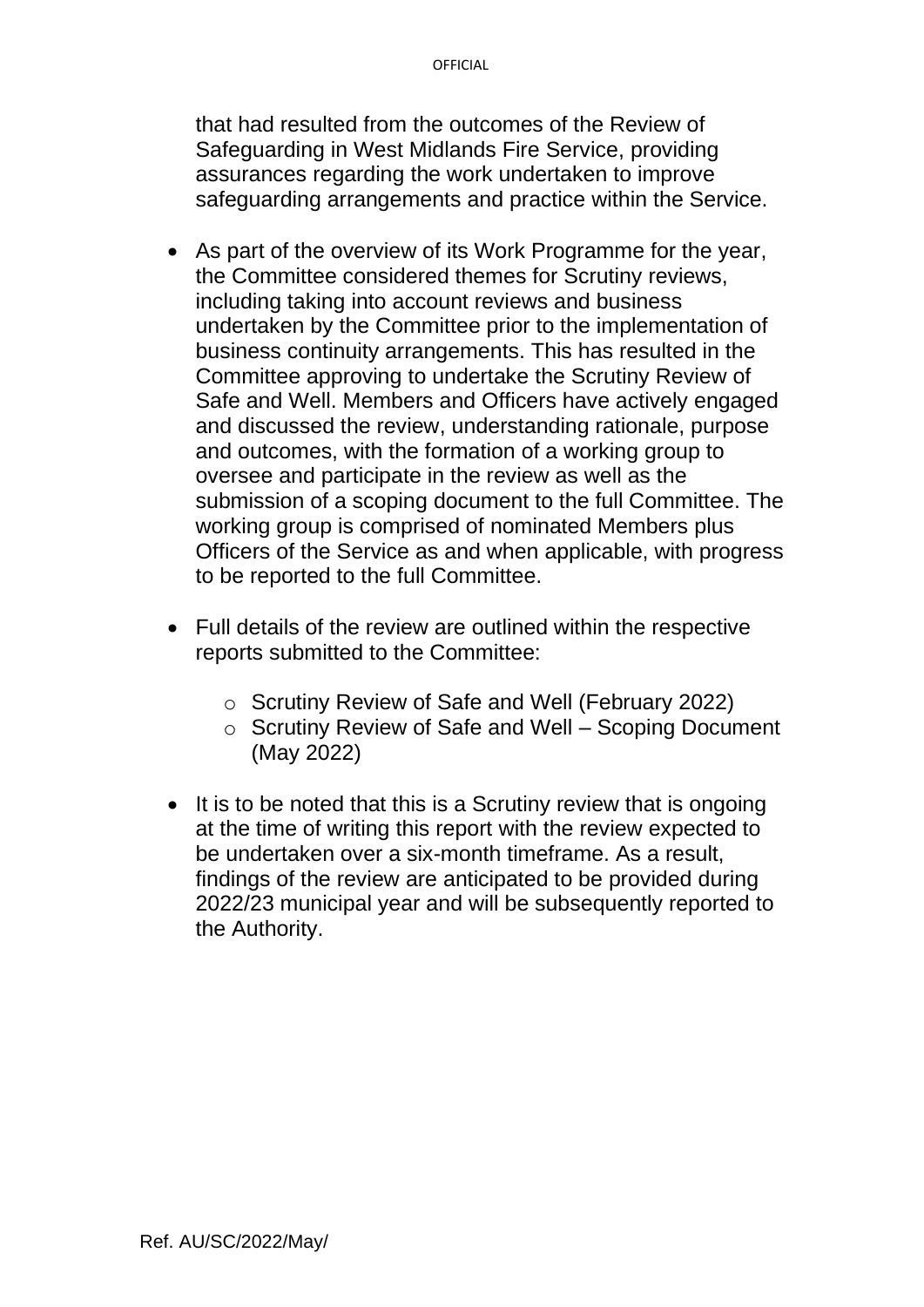that had resulted from the outcomes of the Review of Safeguarding in West Midlands Fire Service, providing assurances regarding the work undertaken to improve safeguarding arrangements and practice within the Service.

- As part of the overview of its Work Programme for the year, the Committee considered themes for Scrutiny reviews, including taking into account reviews and business undertaken by the Committee prior to the implementation of business continuity arrangements. This has resulted in the Committee approving to undertake the Scrutiny Review of Safe and Well. Members and Officers have actively engaged and discussed the review, understanding rationale, purpose and outcomes, with the formation of a working group to oversee and participate in the review as well as the submission of a scoping document to the full Committee. The working group is comprised of nominated Members plus Officers of the Service as and when applicable, with progress to be reported to the full Committee.
- Full details of the review are outlined within the respective reports submitted to the Committee:
	- o Scrutiny Review of Safe and Well (February 2022)
	- o Scrutiny Review of Safe and Well Scoping Document (May 2022)
- It is to be noted that this is a Scrutiny review that is ongoing at the time of writing this report with the review expected to be undertaken over a six-month timeframe. As a result, findings of the review are anticipated to be provided during 2022/23 municipal year and will be subsequently reported to the Authority.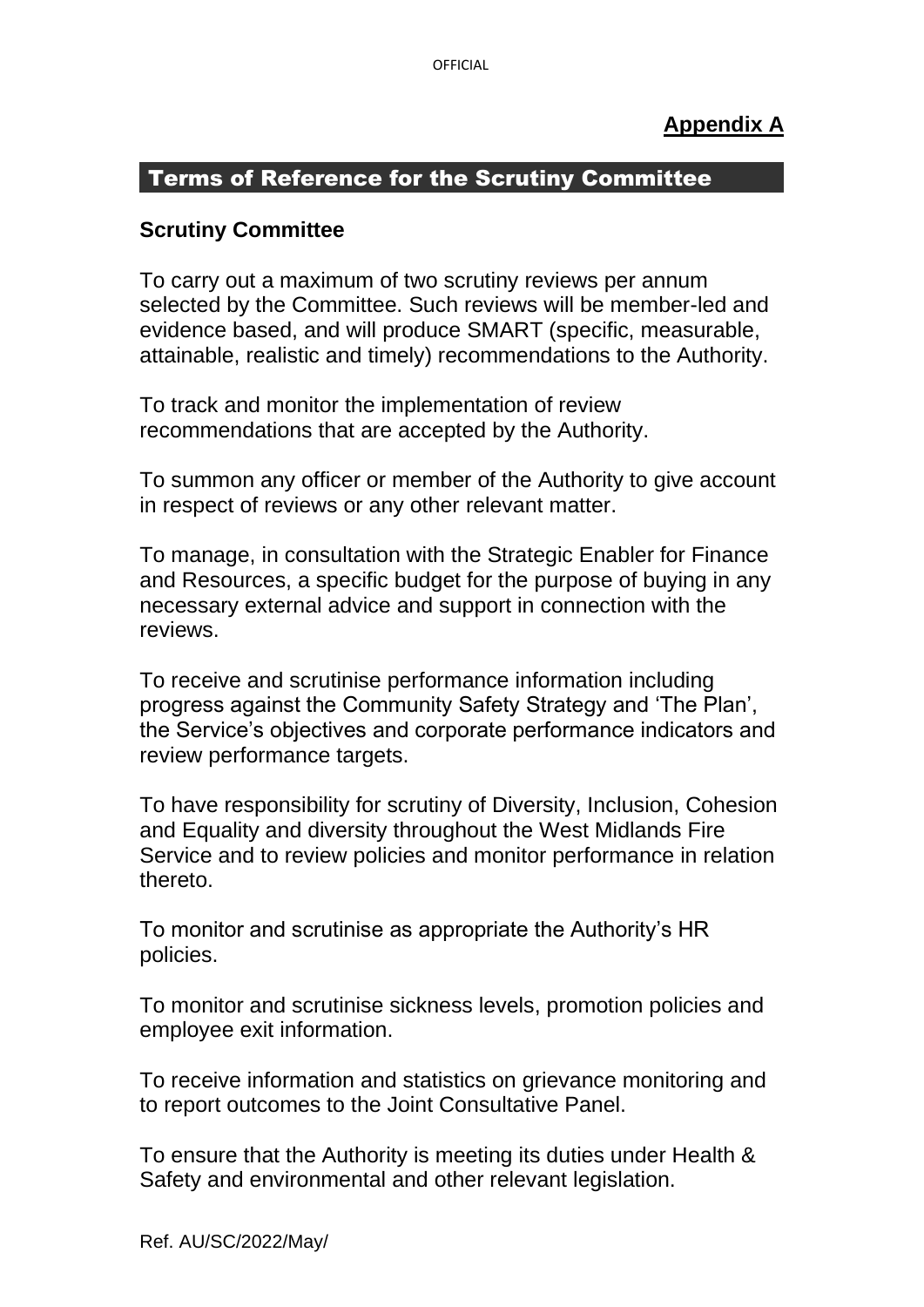### **Appendix A**

### Terms of Reference for the Scrutiny Committee

### **Scrutiny Committee**

To carry out a maximum of two scrutiny reviews per annum selected by the Committee. Such reviews will be member-led and evidence based, and will produce SMART (specific, measurable, attainable, realistic and timely) recommendations to the Authority.

To track and monitor the implementation of review recommendations that are accepted by the Authority.

To summon any officer or member of the Authority to give account in respect of reviews or any other relevant matter.

To manage, in consultation with the Strategic Enabler for Finance and Resources, a specific budget for the purpose of buying in any necessary external advice and support in connection with the reviews.

To receive and scrutinise performance information including progress against the Community Safety Strategy and 'The Plan', the Service's objectives and corporate performance indicators and review performance targets.

To have responsibility for scrutiny of Diversity, Inclusion, Cohesion and Equality and diversity throughout the West Midlands Fire Service and to review policies and monitor performance in relation thereto.

To monitor and scrutinise as appropriate the Authority's HR policies.

To monitor and scrutinise sickness levels, promotion policies and employee exit information.

To receive information and statistics on grievance monitoring and to report outcomes to the Joint Consultative Panel.

To ensure that the Authority is meeting its duties under Health & Safety and environmental and other relevant legislation.